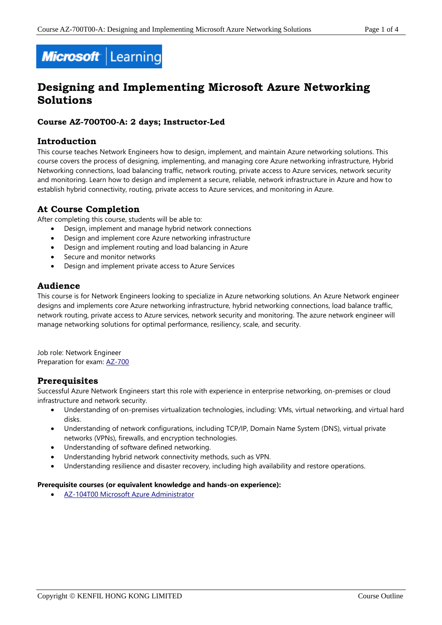# Microsoft Learning

# **Designing and Implementing Microsoft Azure Networking Solutions**

### **Course AZ-700T00-A: 2 days; Instructor-Led**

### **Introduction**

This course teaches Network Engineers how to design, implement, and maintain Azure networking solutions. This course covers the process of designing, implementing, and managing core Azure networking infrastructure, Hybrid Networking connections, load balancing traffic, network routing, private access to Azure services, network security and monitoring. Learn how to design and implement a secure, reliable, network infrastructure in Azure and how to establish hybrid connectivity, routing, private access to Azure services, and monitoring in Azure.

### **At Course Completion**

After completing this course, students will be able to:

- Design, implement and manage hybrid network connections
- Design and implement core Azure networking infrastructure
- Design and implement routing and load balancing in Azure
- Secure and monitor networks
- Design and implement private access to Azure Services

# **Audience**

This course is for Network Engineers looking to specialize in Azure networking solutions. An Azure Network engineer designs and implements core Azure networking infrastructure, hybrid networking connections, load balance traffic, network routing, private access to Azure services, network security and monitoring. The azure network engineer will manage networking solutions for optimal performance, resiliency, scale, and security.

Job role: Network Engineer Preparation for exam: [AZ-700](https://docs.microsoft.com/en-us/learn/certifications/exams/az-700)

# **Prerequisites**

Successful Azure Network Engineers start this role with experience in enterprise networking, on-premises or cloud infrastructure and network security.

- Understanding of on-premises virtualization technologies, including: VMs, virtual networking, and virtual hard disks.
- Understanding of network configurations, including TCP/IP, Domain Name System (DNS), virtual private networks (VPNs), firewalls, and encryption technologies.
- Understanding of software defined networking.
- Understanding hybrid network connectivity methods, such as VPN.
- Understanding resilience and disaster recovery, including high availability and restore operations.

#### **Prerequisite courses (or equivalent knowledge and hands-on experience):**

• [AZ-104T00 Microsoft Azure Administrator](https://www.kenfil.com/moc-az-104t00/)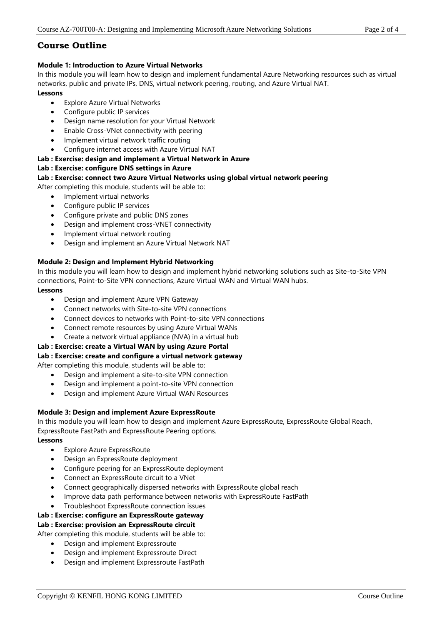# **Course Outline**

### **Module 1: Introduction to Azure Virtual Networks**

In this module you will learn how to design and implement fundamental Azure Networking resources such as virtual networks, public and private IPs, DNS, virtual network peering, routing, and Azure Virtual NAT.

### **Lessons**

- Explore Azure Virtual Networks
- Configure public IP services
- Design name resolution for your Virtual Network
- Enable Cross-VNet connectivity with peering
- Implement virtual network traffic routing
- Configure internet access with Azure Virtual NAT

### **Lab : Exercise: design and implement a Virtual Network in Azure**

### **Lab : Exercise: configure DNS settings in Azure**

### **Lab : Exercise: connect two Azure Virtual Networks using global virtual network peering**

After completing this module, students will be able to:

- Implement virtual networks
- Configure public IP services
- Configure private and public DNS zones
- Design and implement cross-VNET connectivity
- Implement virtual network routing
- Design and implement an Azure Virtual Network NAT

### **Module 2: Design and Implement Hybrid Networking**

In this module you will learn how to design and implement hybrid networking solutions such as Site-to-Site VPN connections, Point-to-Site VPN connections, Azure Virtual WAN and Virtual WAN hubs.

### **Lessons**

- Design and implement Azure VPN Gateway
- Connect networks with Site-to-site VPN connections
- Connect devices to networks with Point-to-site VPN connections
- Connect remote resources by using Azure Virtual WANs
- Create a network virtual appliance (NVA) in a virtual hub

# **Lab : Exercise: create a Virtual WAN by using Azure Portal**

# **Lab : Exercise: create and configure a virtual network gateway**

After completing this module, students will be able to:

- Design and implement a site-to-site VPN connection
- Design and implement a point-to-site VPN connection
- Design and implement Azure Virtual WAN Resources

# **Module 3: Design and implement Azure ExpressRoute**

In this module you will learn how to design and implement Azure ExpressRoute, ExpressRoute Global Reach, ExpressRoute FastPath and ExpressRoute Peering options.

# **Lessons**

- Explore Azure ExpressRoute
- Design an ExpressRoute deployment
- Configure peering for an ExpressRoute deployment
- Connect an ExpressRoute circuit to a VNet
- Connect geographically dispersed networks with ExpressRoute global reach
- Improve data path performance between networks with ExpressRoute FastPath
- Troubleshoot ExpressRoute connection issues

# **Lab : Exercise: configure an ExpressRoute gateway**

# **Lab : Exercise: provision an ExpressRoute circuit**

After completing this module, students will be able to:

- Design and implement Expressroute
- Design and implement Expressroute Direct
- Design and implement Expressroute FastPath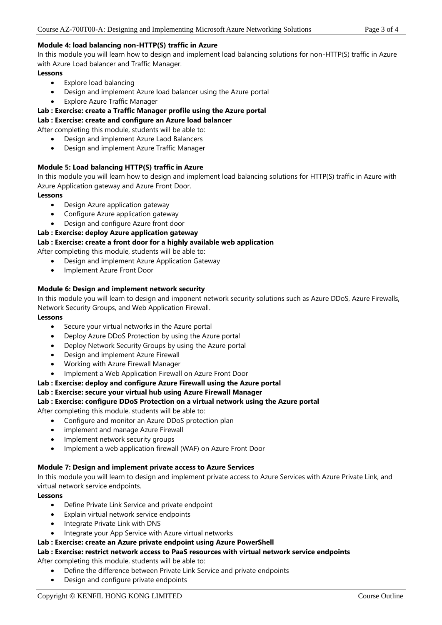### **Module 4: load balancing non-HTTP(S) traffic in Azure**

In this module you will learn how to design and implement load balancing solutions for non-HTTP(S) traffic in Azure with Azure Load balancer and Traffic Manager.

### **Lessons**

- Explore load balancing
- Design and implement Azure load balancer using the Azure portal
- Explore Azure Traffic Manager

### **Lab : Exercise: create a Traffic Manager profile using the Azure portal**

### **Lab : Exercise: create and configure an Azure load balancer**

After completing this module, students will be able to:

- Design and implement Azure Laod Balancers
- Design and implement Azure Traffic Manager

### **Module 5: Load balancing HTTP(S) traffic in Azure**

In this module you will learn how to design and implement load balancing solutions for HTTP(S) traffic in Azure with Azure Application gateway and Azure Front Door.

### **Lessons**

- Design Azure application gateway
- Configure Azure application gateway
- Design and configure Azure front door

### **Lab : Exercise: deploy Azure application gateway**

### **Lab : Exercise: create a front door for a highly available web application**

After completing this module, students will be able to:

- Design and implement Azure Application Gateway
- Implement Azure Front Door

### **Module 6: Design and implement network security**

In this module you will learn to design and imponent network security solutions such as Azure DDoS, Azure Firewalls, Network Security Groups, and Web Application Firewall.

### **Lessons**

- Secure your virtual networks in the Azure portal
- Deploy Azure DDoS Protection by using the Azure portal
- Deploy Network Security Groups by using the Azure portal
- Design and implement Azure Firewall
- Working with Azure Firewall Manager
- Implement a Web Application Firewall on Azure Front Door
- **Lab : Exercise: deploy and configure Azure Firewall using the Azure portal**

### **Lab : Exercise: secure your virtual hub using Azure Firewall Manager**

**Lab : Exercise: configure DDoS Protection on a virtual network using the Azure portal**

After completing this module, students will be able to:

- Configure and monitor an Azure DDoS protection plan
- implement and manage Azure Firewall
- Implement network security groups
- Implement a web application firewall (WAF) on Azure Front Door

### **Module 7: Design and implement private access to Azure Services**

In this module you will learn to design and implement private access to Azure Services with Azure Private Link, and virtual network service endpoints.

### **Lessons**

- Define Private Link Service and private endpoint
- Explain virtual network service endpoints
- Integrate Private Link with DNS
- Integrate your App Service with Azure virtual networks

### **Lab : Exercise: create an Azure private endpoint using Azure PowerShell**

### **Lab : Exercise: restrict network access to PaaS resources with virtual network service endpoints**

After completing this module, students will be able to:

- Define the difference between Private Link Service and private endpoints
- Design and configure private endpoints